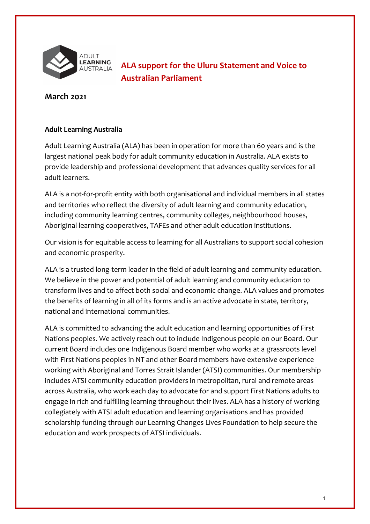

 **ALA support for the Uluru Statement and Voice to Australian Parliament** 

## **March 2021**

## **Adult Learning Australia**

 Adult Learning Australia (ALA) has been in operation for more than 60 years and is the largest national peak body for adult community education in Australia. ALA exists to provide leadership and professional development that advances quality services for all adult learners.

 ALA is a not-for-profit entity with both organisational and individual members in all states and territories who reflect the diversity of adult learning and community education, including community learning centres, community colleges, neighbourhood houses, Aboriginal learning cooperatives, TAFEs and other adult education institutions.

 Our vision is for equitable access to learning for all Australians to support social cohesion and economic prosperity.

 ALA is a trusted long-term leader in the field of adult learning and community education. We believe in the power and potential of adult learning and community education to transform lives and to affect both social and economic change. ALA values and promotes the benefits of learning in all of its forms and is an active advocate in state, territory, national and international communities.

 ALA is committed to advancing the adult education and learning opportunities of First Nations peoples. We actively reach out to include Indigenous people on our Board. Our current Board includes one Indigenous Board member who works at a grassroots level with First Nations peoples in NT and other Board members have extensive experience working with Aboriginal and Torres Strait Islander (ATSI) communities. Our membership across Australia, who work each day to advocate for and support First Nations adults to engage in rich and fulfilling learning throughout their lives. ALA has a history of working collegiately with ATSI adult education and learning organisations and has provided scholarship funding through our Learning Changes Lives Foundation to help secure the education and work prospects of ATSI individuals. includes ATSI community education providers in metropolitan, rural and remote areas education and work prospects of ATSI individuals.<br>
1